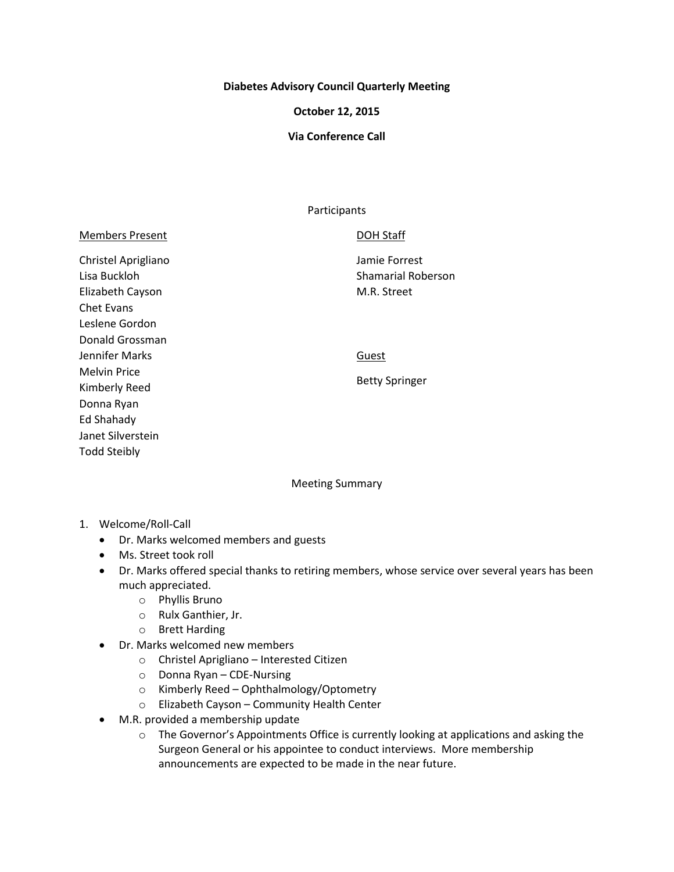#### **Diabetes Advisory Council Quarterly Meeting**

#### **October 12, 2015**

### **Via Conference Call**

#### Participants

|  | <b>Members Present</b> |
|--|------------------------|
|  |                        |

Christel Aprigliano Lisa Buckloh Elizabeth Cayson Chet Evans Leslene Gordon Donald Grossman Jennifer Marks Melvin Price Kimberly Reed Donna Ryan Ed Shahady Janet Silverstein Todd Steibly

## DOH Staff

Jamie Forrest Shamarial Roberson M.R. Street

**Guest** 

Betty Springer

Meeting Summary

- 1. Welcome/Roll-Call
	- Dr. Marks welcomed members and guests
	- Ms. Street took roll
	- Dr. Marks offered special thanks to retiring members, whose service over several years has been much appreciated.
		- o Phyllis Bruno
		- o Rulx Ganthier, Jr.
		- o Brett Harding
	- Dr. Marks welcomed new members
		- o Christel Aprigliano Interested Citizen
		- o Donna Ryan CDE-Nursing
		- o Kimberly Reed Ophthalmology/Optometry
		- o Elizabeth Cayson Community Health Center
	- M.R. provided a membership update
		- $\circ$  The Governor's Appointments Office is currently looking at applications and asking the Surgeon General or his appointee to conduct interviews. More membership announcements are expected to be made in the near future.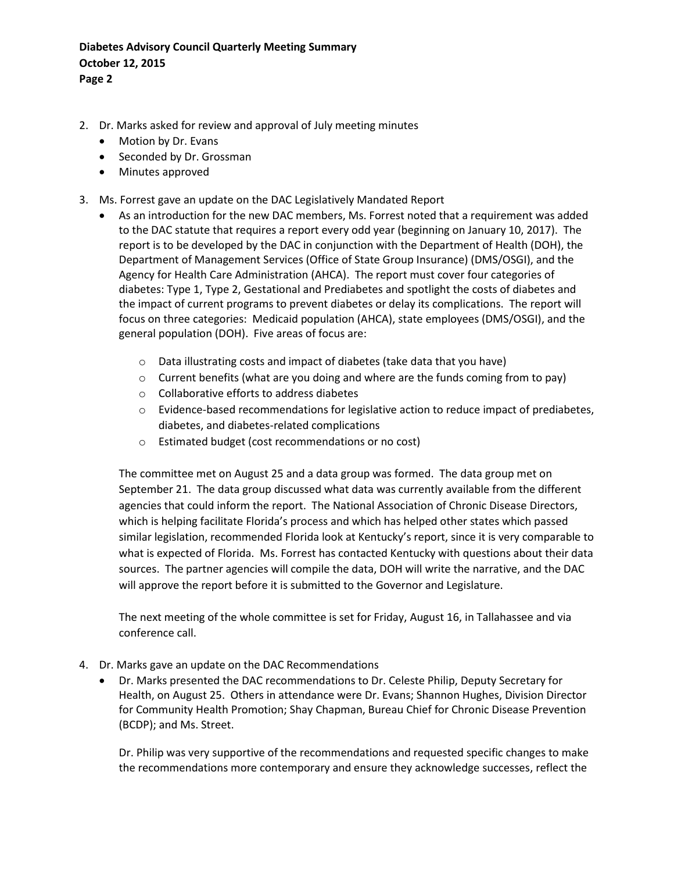# **Diabetes Advisory Council Quarterly Meeting Summary October 12, 2015 Page 2**

- 2. Dr. Marks asked for review and approval of July meeting minutes
	- Motion by Dr. Evans
	- Seconded by Dr. Grossman
	- Minutes approved
- 3. Ms. Forrest gave an update on the DAC Legislatively Mandated Report
	- As an introduction for the new DAC members, Ms. Forrest noted that a requirement was added to the DAC statute that requires a report every odd year (beginning on January 10, 2017). The report is to be developed by the DAC in conjunction with the Department of Health (DOH), the Department of Management Services (Office of State Group Insurance) (DMS/OSGI), and the Agency for Health Care Administration (AHCA). The report must cover four categories of diabetes: Type 1, Type 2, Gestational and Prediabetes and spotlight the costs of diabetes and the impact of current programs to prevent diabetes or delay its complications. The report will focus on three categories: Medicaid population (AHCA), state employees (DMS/OSGI), and the general population (DOH). Five areas of focus are:
		- o Data illustrating costs and impact of diabetes (take data that you have)
		- $\circ$  Current benefits (what are you doing and where are the funds coming from to pay)
		- o Collaborative efforts to address diabetes
		- o Evidence-based recommendations for legislative action to reduce impact of prediabetes, diabetes, and diabetes-related complications
		- o Estimated budget (cost recommendations or no cost)

The committee met on August 25 and a data group was formed. The data group met on September 21. The data group discussed what data was currently available from the different agencies that could inform the report. The National Association of Chronic Disease Directors, which is helping facilitate Florida's process and which has helped other states which passed similar legislation, recommended Florida look at Kentucky's report, since it is very comparable to what is expected of Florida. Ms. Forrest has contacted Kentucky with questions about their data sources. The partner agencies will compile the data, DOH will write the narrative, and the DAC will approve the report before it is submitted to the Governor and Legislature.

The next meeting of the whole committee is set for Friday, August 16, in Tallahassee and via conference call.

- 4. Dr. Marks gave an update on the DAC Recommendations
	- Dr. Marks presented the DAC recommendations to Dr. Celeste Philip, Deputy Secretary for Health, on August 25. Others in attendance were Dr. Evans; Shannon Hughes, Division Director for Community Health Promotion; Shay Chapman, Bureau Chief for Chronic Disease Prevention (BCDP); and Ms. Street.

Dr. Philip was very supportive of the recommendations and requested specific changes to make the recommendations more contemporary and ensure they acknowledge successes, reflect the